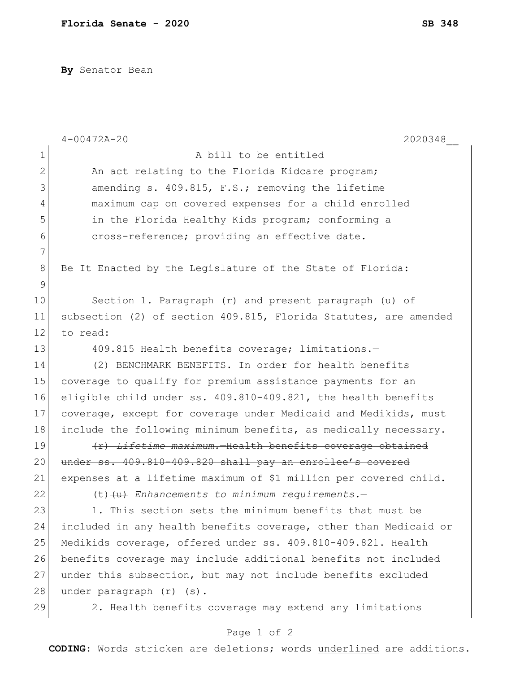**By** Senator Bean

|                | $4 - 00472A - 20$<br>2020348                                       |
|----------------|--------------------------------------------------------------------|
| $\mathbf 1$    | A bill to be entitled                                              |
| $\mathbf{2}$   | An act relating to the Florida Kidcare program;                    |
| 3              | amending s. 409.815, F.S.; removing the lifetime                   |
| 4              | maximum cap on covered expenses for a child enrolled               |
| 5              | in the Florida Healthy Kids program; conforming a                  |
| 6              | cross-reference; providing an effective date.                      |
| $\overline{7}$ |                                                                    |
| 8              | Be It Enacted by the Legislature of the State of Florida:          |
| 9              |                                                                    |
| 10             | Section 1. Paragraph (r) and present paragraph (u) of              |
| 11             | subsection (2) of section 409.815, Florida Statutes, are amended   |
| 12             | to read:                                                           |
| 13             | 409.815 Health benefits coverage; limitations.-                    |
| 14             | (2) BENCHMARK BENEFITS. - In order for health benefits             |
| 15             | coverage to qualify for premium assistance payments for an         |
| 16             | eligible child under ss. 409.810-409.821, the health benefits      |
| 17             | coverage, except for coverage under Medicaid and Medikids, must    |
| 18             | include the following minimum benefits, as medically necessary.    |
| 19             | (r) Lifetime maximum. Health benefits coverage obtained            |
| 20             | under ss. 409.810-409.820 shall pay an enrollee's covered          |
| 21             | expenses at a lifetime maximum of \$1 million per covered child.   |
| 22             | $(t)$ $\left\{\upmu\right\}$ Enhancements to minimum requirements. |
| 23             | 1. This section sets the minimum benefits that must be             |
| 24             | included in any health benefits coverage, other than Medicaid or   |
| 25             | Medikids coverage, offered under ss. 409.810-409.821. Health       |
| 26             | benefits coverage may include additional benefits not included     |
| 27             | under this subsection, but may not include benefits excluded       |
| 28             | under paragraph $(r)$ $\overline{(+s)}$ .                          |
| 29             | 2. Health benefits coverage may extend any limitations             |

Page 1 of 2

**CODING**: Words stricken are deletions; words underlined are additions.